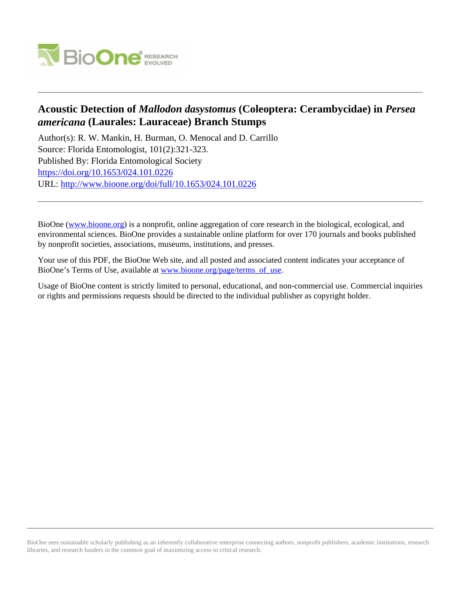

## **Acoustic Detection of** *Mallodon dasystomus* **(Coleoptera: Cerambycidae) in** *Persea americana* **(Laurales: Lauraceae) Branch Stumps**

Author(s): R. W. Mankin, H. Burman, O. Menocal and D. Carrillo Source: Florida Entomologist, 101(2):321-323. Published By: Florida Entomological Society <https://doi.org/10.1653/024.101.0226> URL: <http://www.bioone.org/doi/full/10.1653/024.101.0226>

BioOne [\(www.bioone.org\)](http://www.bioone.org) is a nonprofit, online aggregation of core research in the biological, ecological, and environmental sciences. BioOne provides a sustainable online platform for over 170 journals and books published by nonprofit societies, associations, museums, institutions, and presses.

Your use of this PDF, the BioOne Web site, and all posted and associated content indicates your acceptance of BioOne's Terms of Use, available at [www.bioone.org/page/terms\\_of\\_use.](http://www.bioone.org/page/terms_of_use)

Usage of BioOne content is strictly limited to personal, educational, and non-commercial use. Commercial inquiries or rights and permissions requests should be directed to the individual publisher as copyright holder.

BioOne sees sustainable scholarly publishing as an inherently collaborative enterprise connecting authors, nonprofit publishers, academic institutions, research libraries, and research funders in the common goal of maximizing access to critical research.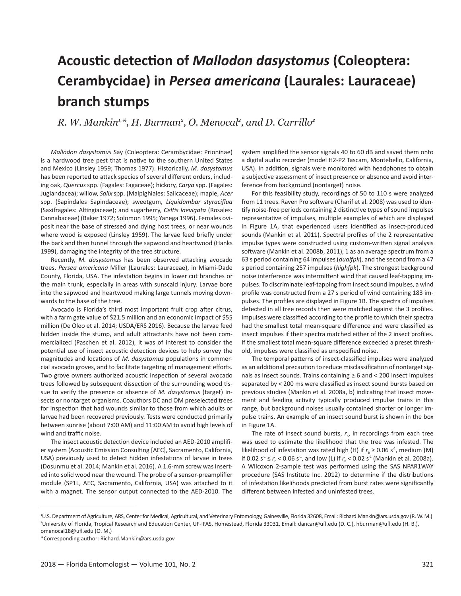# **Acoustic detection of** *Mallodon dasystomus* **(Coleoptera: Cerambycidae) in** *Persea americana* **(Laurales: Lauraceae) branch stumps**

*R. W. Mankin1,\*, H. Burman2 , O. Menocal2 , and D. Carrillo2*

*Mallodon dasystomus* Say (Coleoptera: Cerambycidae: Prioninae) is a hardwood tree pest that is native to the southern United States and Mexico (Linsley 1959; Thomas 1977). Historically, *M. dasystomus* has been reported to attack species of several different orders, including oak, *Quercus* spp. (Fagales: Fagaceae); hickory, *Carya* spp. (Fagales: Juglandacea); willow, *Salix* spp. (Malpighiales: Salicaceae); maple, *Acer* spp. (Sapindales Sapindaceae); sweetgum, *Liquidambar styraciflua* (Saxifragales: Altingiaceae); and sugarberry, *Celtis laevigata* (Rosales: Cannabaceae) (Baker 1972; Solomon 1995; Yanega 1996). Females oviposit near the base of stressed and dying host trees, or near wounds where wood is exposed (Linsley 1959). The larvae feed briefly under the bark and then tunnel through the sapwood and heartwood (Hanks 1999), damaging the integrity of the tree structure.

Recently, *M. dasystomus* has been observed attacking avocado trees, *Persea americana* Miller (Laurales: Lauraceae), in Miami-Dade County, Florida, USA. The infestation begins in lower cut branches or the main trunk, especially in areas with sunscald injury. Larvae bore into the sapwood and heartwood making large tunnels moving downwards to the base of the tree.

Avocado is Florida's third most important fruit crop after citrus, with a farm gate value of \$21.5 million and an economic impact of \$55 million (De Oleo et al. 2014; USDA/ERS 2016). Because the larvae feed hidden inside the stump, and adult attractants have not been commercialized (Paschen et al. 2012), it was of interest to consider the potential use of insect acoustic detection devices to help survey the magnitudes and locations of *M. dasystomus* populations in commercial avocado groves, and to facilitate targeting of management efforts. Two grove owners authorized acoustic inspection of several avocado trees followed by subsequent dissection of the surrounding wood tissue to verify the presence or absence of *M. dasystomus* (target) insects or nontarget organisms. Coauthors DC and OM preselected trees for inspection that had wounds similar to those from which adults or larvae had been recovered previously. Tests were conducted primarily between sunrise (about 7:00 AM) and 11:00 AM to avoid high levels of wind and traffic noise.

The insect acoustic detection device included an AED-2010 amplifier system (Acoustic Emission Consulting [AEC], Sacramento, California, USA) previously used to detect hidden infestations of larvae in trees (Dosunmu et al. 2014; Mankin et al. 2016). A 1.6-mm screw was inserted into solid wood near the wound. The probe of a sensor-preamplifier module (SP1L, AEC, Sacramento, California, USA) was attached to it with a magnet. The sensor output connected to the AED-2010. The system amplified the sensor signals 40 to 60 dB and saved them onto a digital audio recorder (model H2-P2 Tascam, Montebello, California, USA). In addition, signals were monitored with headphones to obtain a subjective assessment of insect presence or absence and avoid interference from background (nontarget) noise.

For this feasibility study, recordings of 50 to 110 s were analyzed from 11 trees. Raven Pro software (Charif et al. 2008) was used to identify noise-free periods containing 2 distinctive types of sound impulses representative of impulses, multiple examples of which are displayed in Figure 1A, that experienced users identified as insect-produced sounds (Mankin et al. 2011). Spectral profiles of the 2 representative impulse types were constructed using custom-written signal analysis software (Mankin et al. 2008b, 2011), 1 as an average spectrum from a 63 s period containing 64 impulses (*dualfpk*), and the second from a 47 s period containing 257 impulses (*highfpk*). The strongest background noise interference was intermittent wind that caused leaf-tapping impulses. To discriminate leaf-tapping from insect sound impulses, a wind profile was constructed from a 27 s period of wind containing 183 impulses. The profiles are displayed in Figure 1B. The spectra of impulses detected in all tree records then were matched against the 3 profiles. Impulses were classified according to the profile to which their spectra had the smallest total mean-square difference and were classified as insect impulses if their spectra matched either of the 2 insect profiles. If the smallest total mean-square difference exceeded a preset threshold, impulses were classified as unspecified noise.

The temporal patterns of insect-classified impulses were analyzed as an additional precaution to reduce misclassification of nontarget signals as insect sounds. Trains containing  $\geq 6$  and < 200 insect impulses separated by < 200 ms were classified as insect sound bursts based on previous studies (Mankin et al. 2008a, b) indicating that insect movement and feeding activity typically produced impulse trains in this range, but background noises usually contained shorter or longer impulse trains. An example of an insect sound burst is shown in the box in Figure 1A.

The rate of insect sound bursts,  $r_{b}$ , in recordings from each tree was used to estimate the likelihood that the tree was infested. The likelihood of infestation was rated high (H) if  $r_{b} \ge 0.06$  s<sup>-1</sup>, medium (M) if  $0.02 s<sup>-1</sup> \le r_b < 0.06 s<sup>-1</sup>$ , and low (L) if  $r_b < 0.02 s<sup>-1</sup>$  (Mankin et al. 2008a). A Wilcoxon 2-sample test was performed using the SAS NPAR1WAY procedure (SAS Institute Inc. 2012) to determine if the distributions of infestation likelihoods predicted from burst rates were significantly different between infested and uninfested trees.

<sup>1</sup> U.S. Department of Agriculture, ARS, Center for Medical, Agricultural, and Veterinary Entomology, Gainesville, Florida 32608, Email: Richard.Mankin@ars.usda.gov (R. W. M.) 2 University of Florida, Tropical Research and Education Center, UF-IFAS, Homestead, Florida 33031, Email: dancar@ufl.edu (D. C.), hburman@ufl.edu (H. B.), omenocal18@ufl.edu (O. M.)

<sup>\*</sup>Corresponding author: Richard.Mankin@ars.usda.gov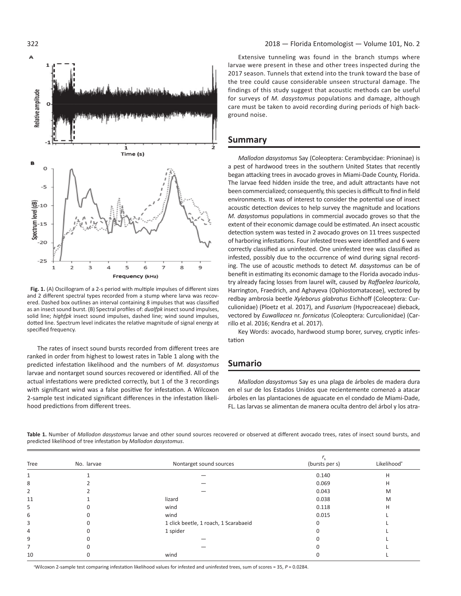

**Fig. 1.** (A) Oscillogram of a 2-s period with multiple impulses of different sizes and 2 different spectral types recorded from a stump where larva was recovered. Dashed box outlines an interval containing 8 impulses that was classified as an insect sound burst. (B) Spectral profiles of: *dualfpk* insect sound impulses, solid line; *highfpk* insect sound impulses, dashed line; wind sound impulses, dotted line. Spectrum level indicates the relative magnitude of signal energy at specified frequency.

The rates of insect sound bursts recorded from different trees are ranked in order from highest to lowest rates in Table 1 along with the predicted infestation likelihood and the numbers of *M. dasystomus* larvae and nontarget sound sources recovered or identified. All of the actual infestations were predicted correctly, but 1 of the 3 recordings with significant wind was a false positive for infestation. A Wilcoxon 2-sample test indicated significant differences in the infestation likelihood predictions from different trees.

Extensive tunneling was found in the branch stumps where larvae were present in these and other trees inspected during the 2017 season. Tunnels that extend into the trunk toward the base of the tree could cause considerable unseen structural damage. The findings of this study suggest that acoustic methods can be useful for surveys of *M. dasystomus* populations and damage, although care must be taken to avoid recording during periods of high background noise.

#### **Summary**

*Mallodon dasystomus* Say (Coleoptera: Cerambycidae: Prioninae) is a pest of hardwood trees in the southern United States that recently began attacking trees in avocado groves in Miami-Dade County, Florida. The larvae feed hidden inside the tree, and adult attractants have not been commercialized; consequently, this species is difficult to find in field environments. It was of interest to consider the potential use of insect acoustic detection devices to help survey the magnitude and locations *M. dasystomus* populations in commercial avocado groves so that the extent of their economic damage could be estimated. An insect acoustic detection system was tested in 2 avocado groves on 11 trees suspected of harboring infestations. Four infested trees were identified and 6 were correctly classified as uninfested. One uninfested tree was classified as infested, possibly due to the occurrence of wind during signal recording. The use of acoustic methods to detect *M. dasystomus* can be of benefit in estimating its economic damage to the Florida avocado industry already facing losses from laurel wilt, caused by *Raffaelea lauricola*, Harrington, Fraedrich, and Aghayeva (Ophiostomataceae), vectored by redbay ambrosia beetle *Xyleborus glabratus* Eichhoff (Coleoptera: Curculionidae) (Ploetz et al. 2017), and *Fusarium* (Hypocreaceae) dieback, vectored by *Euwallacea* nr. *fornicatus* (Coleoptera: Curculionidae) (Carrillo et al. 2016; Kendra et al. 2017).

Key Words: avocado, hardwood stump borer, survey, cryptic infestation

#### **Sumario**

*Mallodon dasystomus* Say es una plaga de árboles de madera dura en el sur de los Estados Unidos que recientemente comenzó a atacar árboles en las plantaciones de aguacate en el condado de Miami-Dade, FL. Las larvas se alimentan de manera oculta dentro del árbol y los atra-

**Table 1.** Number of *Mallodon dasystomus* larvae and other sound sources recovered or observed at different avocado trees, rates of insect sound bursts, and predicted likelihood of tree infestation by *Mallodon dasystomus*.

| Tree | No. larvae | Nontarget sound sources               | (bursts per s) | Likelihood <sup>a</sup> |
|------|------------|---------------------------------------|----------------|-------------------------|
|      |            |                                       | 0.140          | н                       |
| 8    |            |                                       | 0.069          | н                       |
| 2    |            |                                       | 0.043          | M                       |
| 11   |            | lizard                                | 0.038          | M                       |
| 5    |            | wind                                  | 0.118          | н                       |
| 6    |            | wind                                  | 0.015          |                         |
| 3    |            | 1 click beetle, 1 roach, 1 Scarabaeid |                |                         |
| 4    |            | 1 spider                              |                |                         |
| 9    |            |                                       |                |                         |
|      |            |                                       |                |                         |
| 10   |            | wind                                  |                |                         |

a Wilcoxon 2-sample test comparing infestation likelihood values for infested and uninfested trees, sum of scores = 35, *P* = 0.0284.